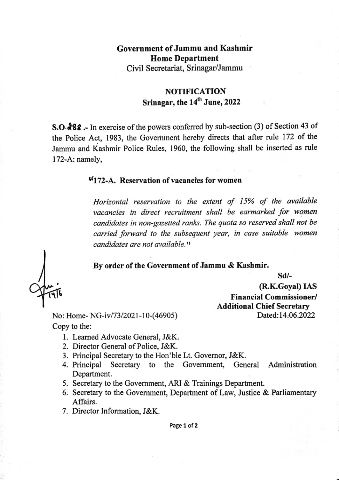## Government ofJammu and Kashmir Home Department Civil Secretariat, Srinagar/Jammu

## NOTIFICATION Srinagar, the 14" June, 2022

s.o.88-In exerciseofthe powers conferred by sub-section (3) of Section <sup>43</sup> of the Police Act, 1983, the Government hereby directs that after rule 172 of the Jammu and Kashmir Police Rulcs, 1960, the following shall be inserted as rule 172-A: namely,

## 172-A. Reservation of vacancies for women

Horizontal reservation to the extent of 15% of the available vacancies in direct recruitment shall be earmarked for women candidates in non-gazetted ranks. The quota so reserved shall not be carried forward to the subsequent year, in case suitable women candidates are not available."

## By order of the Government of Jammu & Kashmir.

Sd/-

(R.K.Goyal) IAS<br>
Financial Commissioner/ Additional Chief Secretary Dated:14.06.2022

No: Home-NG-iv/73/2021-10-(46905) Copy to the:

- 1. Learned Advocate General, J&K.
- 2. Director General of Police, J&K.
- 3. Principal Secretary to the Hon'ble Lt. Governor, J&K.
- 4. Principal Secretary to the Government, General Administration Department.
- 5. Secretary to the Government, ARI & Trainings Department.
- 6. Secretary to the Government, Department of Law, Justice & Parliamentary Affairs.
- 7. Director Information, J&K.

Page 1 of 2